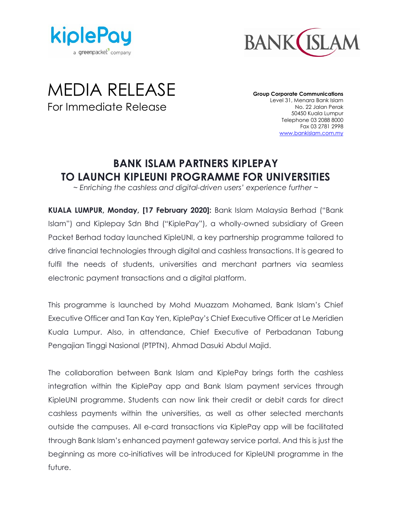



# MEDIA RELEASE For Immediate Release

**Group Corporate Communications** Level 31, Menara Bank Islam No. 22 Jalan Perak 50450 Kuala Lumpur Telephone 03 2088 8000 Fax 03 2781 2998 [www.bankislam.com.my](http://www.bankislam.com.my/)

# **BANK ISLAM PARTNERS KIPLEPAY TO LAUNCH KIPLEUNI PROGRAMME FOR UNIVERSITIES**

*~ Enriching the cashless and digital-driven users' experience further ~*

**KUALA LUMPUR, Monday, [17 February 2020]:** Bank Islam Malaysia Berhad ("Bank Islam") and Kiplepay Sdn Bhd ("KiplePay"), a wholly-owned subsidiary of Green Packet Berhad today launched KipleUNI, a key partnership programme tailored to drive financial technologies through digital and cashless transactions. It is geared to fulfil the needs of students, universities and merchant partners via seamless electronic payment transactions and a digital platform.

This programme is launched by Mohd Muazzam Mohamed, Bank Islam's Chief Executive Officer and Tan Kay Yen, KiplePay's Chief Executive Officer at Le Meridien Kuala Lumpur. Also, in attendance, Chief Executive of Perbadanan Tabung Pengajian Tinggi Nasional (PTPTN), Ahmad Dasuki Abdul Majid.

The collaboration between Bank Islam and KiplePay brings forth the cashless integration within the KiplePay app and Bank Islam payment services through KipleUNI programme. Students can now link their credit or debit cards for direct cashless payments within the universities, as well as other selected merchants outside the campuses. All e-card transactions via KiplePay app will be facilitated through Bank Islam's enhanced payment gateway service portal. And this is just the beginning as more co-initiatives will be introduced for KipleUNI programme in the future.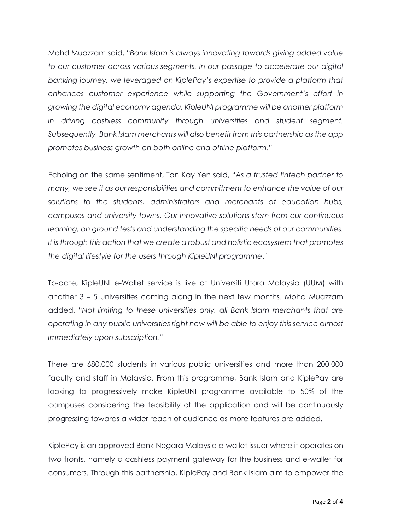Mohd Muazzam said, "*Bank Islam is always innovating towards giving added value to our customer across various segments. In our passage to accelerate our digital banking journey, we leveraged on KiplePay's expertise to provide a platform that enhances customer experience while supporting the Government's effort in growing the digital economy agenda. KipleUNI programme will be another platform in driving cashless community through universities and student segment. Subsequently, Bank Islam merchants will also benefit from this partnership as the app promotes business growth on both online and offline platform*."

Echoing on the same sentiment, Tan Kay Yen said, "*As a trusted fintech partner to many, we see it as our responsibilities and commitment to enhance the value of our solutions to the students, administrators and merchants at education hubs, campuses and university towns. Our innovative solutions stem from our continuous learning, on ground tests and understanding the specific needs of our communities. It is through this action that we create a robust and holistic ecosystem that promotes the digital lifestyle for the users through KipleUNI programme*."

To-date, KipleUNI e-Wallet service is live at Universiti Utara Malaysia (UUM) with another 3 – 5 universities coming along in the next few months. Mohd Muazzam added, "*Not limiting to these universities only, all Bank Islam merchants that are operating in any public universities right now will be able to enjoy this service almost immediately upon subscription."*

There are 680,000 students in various public universities and more than 200,000 faculty and staff in Malaysia. From this programme, Bank Islam and KiplePay are looking to progressively make KipleUNI programme available to 50% of the campuses considering the feasibility of the application and will be continuously progressing towards a wider reach of audience as more features are added.

KiplePay is an approved Bank Negara Malaysia e-wallet issuer where it operates on two fronts, namely a cashless payment gateway for the business and e-wallet for consumers. Through this partnership, KiplePay and Bank Islam aim to empower the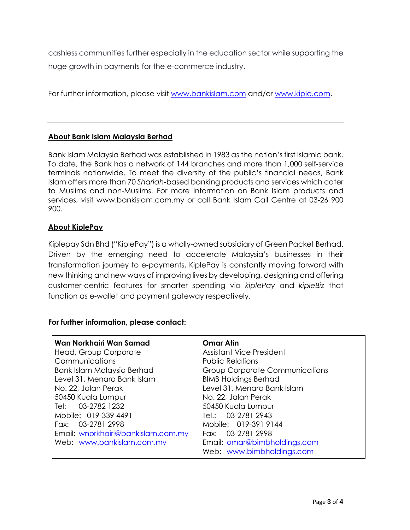cashless communities further especially in the education sector while supporting the huge growth in payments for the e-commerce industry.

For further information, please visit [www.bankislam.com](http://www.bankislam.com/) and/or [www.kiple.com.](http://www.kiple.com/)

## **About Bank Islam Malaysia Berhad**

Bank Islam Malaysia Berhad was established in 1983 as the nation's first Islamic bank. To date, the Bank has a network of 144 branches and more than 1,000 self-service terminals nationwide. To meet the diversity of the public's financial needs, Bank Islam offers more than 70 *Shariah*-based banking products and services which cater to Muslims and non-Muslims. For more information on Bank Islam products and services, visit www.bankislam.com.my or call Bank Islam Call Centre at 03-26 900 900.

## **About KiplePay**

Kiplepay Sdn Bhd ("KiplePay") is a wholly-owned subsidiary of Green Packet Berhad. Driven by the emerging need to accelerate Malaysia's businesses in their transformation journey to e-payments, KiplePay is constantly moving forward with new thinking and new ways of improving lives by developing, designing and offering customer-centric features for smarter spending via *kiplePay* and *kipleBiz* that function as e-wallet and payment gateway respectively.

## **For further information, please contact:**

| Wan Norkhairi Wan Samad            | <b>Omar Atin</b>                |
|------------------------------------|---------------------------------|
| Head, Group Corporate              | <b>Assistant Vice President</b> |
| Communications                     | <b>Public Relations</b>         |
| Bank Islam Malaysia Berhad         | Group Corporate Communications  |
| Level 31, Menara Bank Islam        | <b>BIMB Holdings Berhad</b>     |
| No. 22, Jalan Perak                | Level 31, Menara Bank Islam     |
| 50450 Kuala Lumpur                 | No. 22, Jalan Perak             |
| Tel: 03-2782 1232                  | 50450 Kuala Lumpur              |
| Mobile: 019-339 4491               | Tel.: 03-2781 2943              |
| Fax: 03-2781 2998                  | Mobile: 019-391 9144            |
| Email: wnorkhairi@bankislam.com.my | Fax: 03-2781 2998               |
| Web: www.bankislam.com.my          | Email: omar@bimbholdings.com    |
|                                    | Web: www.bimbholdings.com       |